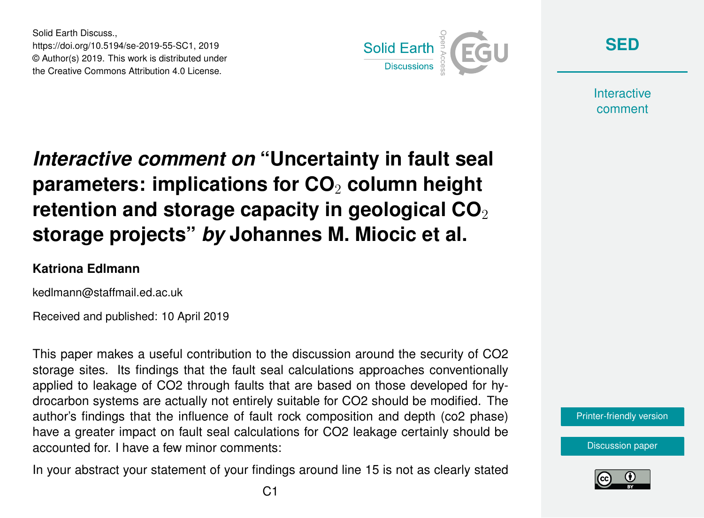Solid Earth Discuss., https://doi.org/10.5194/se-2019-55-SC1, 2019 © Author(s) 2019. This work is distributed under the Creative Commons Attribution 4.0 License.



**[SED](https://www.solid-earth-discuss.net/)**

**Interactive** comment

## *Interactive comment on* **"Uncertainty in fault seal parameters: implications for CO**<sup>2</sup> **column height retention and storage capacity in geological CO**<sub>2</sub> **storage projects"** *by* **Johannes M. Miocic et al.**

## **Katriona Edlmann**

kedlmann@staffmail.ed.ac.uk

Received and published: 10 April 2019

This paper makes a useful contribution to the discussion around the security of CO2 storage sites. Its findings that the fault seal calculations approaches conventionally applied to leakage of CO2 through faults that are based on those developed for hydrocarbon systems are actually not entirely suitable for CO2 should be modified. The author's findings that the influence of fault rock composition and depth (co2 phase) have a greater impact on fault seal calculations for CO2 leakage certainly should be accounted for. I have a few minor comments:

In your abstract your statement of your findings around line 15 is not as clearly stated

[Printer-friendly version](https://www.solid-earth-discuss.net/se-2019-55/se-2019-55-SC1-print.pdf)

[Discussion paper](https://www.solid-earth-discuss.net/se-2019-55)

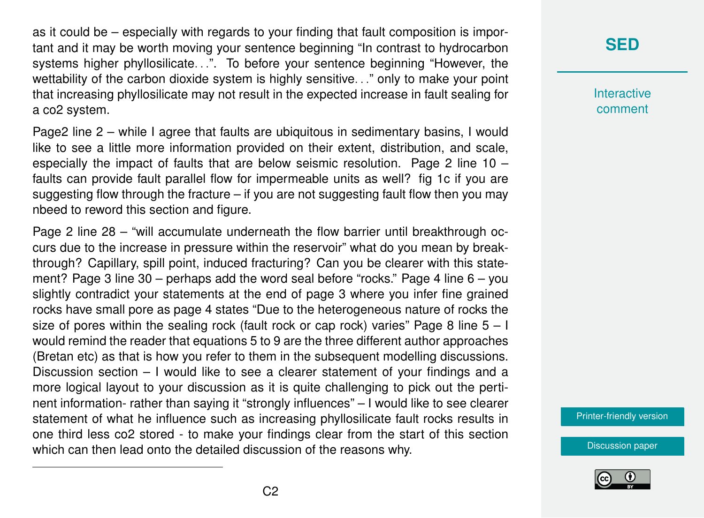as it could be – especially with regards to your finding that fault composition is important and it may be worth moving your sentence beginning "In contrast to hydrocarbon systems higher phyllosilicate...". To before your sentence beginning "However, the wettability of the carbon dioxide system is highly sensitive. . ." only to make your point that increasing phyllosilicate may not result in the expected increase in fault sealing for a co2 system.

Page2 line 2 – while I agree that faults are ubiquitous in sedimentary basins, I would like to see a little more information provided on their extent, distribution, and scale, especially the impact of faults that are below seismic resolution. Page 2 line 10 – faults can provide fault parallel flow for impermeable units as well? fig 1c if you are suggesting flow through the fracture – if you are not suggesting fault flow then you may nbeed to reword this section and figure.

Page 2 line 28 – "will accumulate underneath the flow barrier until breakthrough occurs due to the increase in pressure within the reservoir" what do you mean by breakthrough? Capillary, spill point, induced fracturing? Can you be clearer with this statement? Page 3 line 30 – perhaps add the word seal before "rocks." Page 4 line 6 – you slightly contradict your statements at the end of page 3 where you infer fine grained rocks have small pore as page 4 states "Due to the heterogeneous nature of rocks the size of pores within the sealing rock (fault rock or cap rock) varies" Page 8 line  $5 - 1$ would remind the reader that equations 5 to 9 are the three different author approaches (Bretan etc) as that is how you refer to them in the subsequent modelling discussions. Discussion section – I would like to see a clearer statement of your findings and a more logical layout to your discussion as it is quite challenging to pick out the pertinent information- rather than saying it "strongly influences" – I would like to see clearer statement of what he influence such as increasing phyllosilicate fault rocks results in one third less co2 stored - to make your findings clear from the start of this section which can then lead onto the detailed discussion of the reasons why.

## **[SED](https://www.solid-earth-discuss.net/)**

**Interactive** comment

[Printer-friendly version](https://www.solid-earth-discuss.net/se-2019-55/se-2019-55-SC1-print.pdf)

[Discussion paper](https://www.solid-earth-discuss.net/se-2019-55)